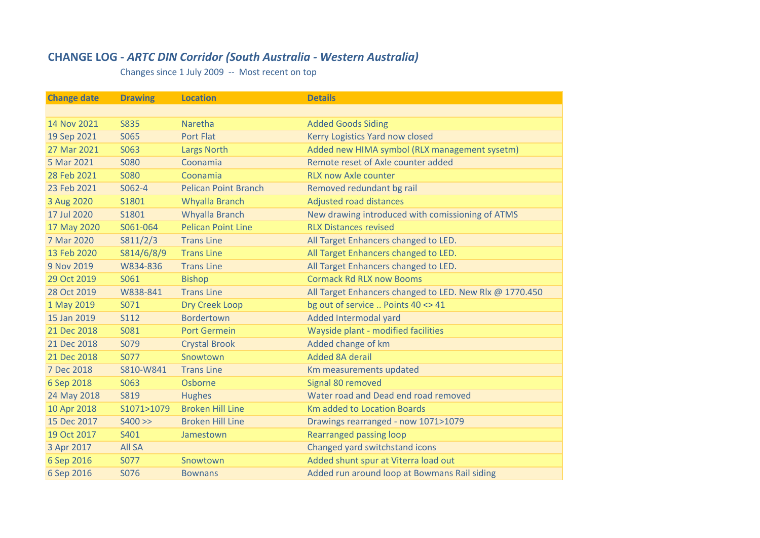## **CHANGE LOG ‐** *ARTC DIN Corridor (South Australia ‐ Western Australia)*

Changes since 1 July 2009 ‐‐ Most recent on top

| <b>Change date</b> | <b>Drawing</b> | <b>Location</b>             | <b>Details</b>                                          |
|--------------------|----------------|-----------------------------|---------------------------------------------------------|
|                    |                |                             |                                                         |
| 14 Nov 2021        | <b>S835</b>    | Naretha                     | <b>Added Goods Siding</b>                               |
| 19 Sep 2021        | S065           | <b>Port Flat</b>            | Kerry Logistics Yard now closed                         |
| 27 Mar 2021        | S063           | <b>Largs North</b>          | Added new HIMA symbol (RLX management sysetm)           |
| 5 Mar 2021         | <b>S080</b>    | Coonamia                    | Remote reset of Axle counter added                      |
| 28 Feb 2021        | <b>S080</b>    | Coonamia                    | <b>RLX now Axle counter</b>                             |
| 23 Feb 2021        | S062-4         | <b>Pelican Point Branch</b> | Removed redundant bg rail                               |
| 3 Aug 2020         | S1801          | Whyalla Branch              | <b>Adjusted road distances</b>                          |
| 17 Jul 2020        | S1801          | Whyalla Branch              | New drawing introduced with comissioning of ATMS        |
| 17 May 2020        | S061-064       | <b>Pelican Point Line</b>   | <b>RLX Distances revised</b>                            |
| 7 Mar 2020         | S811/2/3       | <b>Trans Line</b>           | All Target Enhancers changed to LED.                    |
| 13 Feb 2020        | S814/6/8/9     | <b>Trans Line</b>           | All Target Enhancers changed to LED.                    |
| 9 Nov 2019         | W834-836       | <b>Trans Line</b>           | All Target Enhancers changed to LED.                    |
| 29 Oct 2019        | S061           | <b>Bishop</b>               | <b>Cormack Rd RLX now Booms</b>                         |
| 28 Oct 2019        | W838-841       | <b>Trans Line</b>           | All Target Enhancers changed to LED. New Rlx @ 1770.450 |
| 1 May 2019         | S071           | <b>Dry Creek Loop</b>       | bg out of service  Points 40 <> 41                      |
| 15 Jan 2019        | <b>S112</b>    | <b>Bordertown</b>           | Added Intermodal yard                                   |
| 21 Dec 2018        | S081           | <b>Port Germein</b>         | Wayside plant - modified facilities                     |
| 21 Dec 2018        | S079           | <b>Crystal Brook</b>        | Added change of km                                      |
| 21 Dec 2018        | S077           | Snowtown                    | <b>Added 8A derail</b>                                  |
| 7 Dec 2018         | S810-W841      | <b>Trans Line</b>           | Km measurements updated                                 |
| 6 Sep 2018         | S063           | Osborne                     | Signal 80 removed                                       |
| 24 May 2018        | <b>S819</b>    | <b>Hughes</b>               | Water road and Dead end road removed                    |
| 10 Apr 2018        | S1071>1079     | <b>Broken Hill Line</b>     | <b>Km added to Location Boards</b>                      |
| 15 Dec 2017        | $S400 \gg$     | <b>Broken Hill Line</b>     | Drawings rearranged - now 1071>1079                     |
| 19 Oct 2017        | S401           | Jamestown                   | <b>Rearranged passing loop</b>                          |
| 3 Apr 2017         | <b>All SA</b>  |                             | Changed yard switchstand icons                          |
| 6 Sep 2016         | S077           | Snowtown                    | Added shunt spur at Viterra load out                    |
| 6 Sep 2016         | S076           | <b>Bownans</b>              | Added run around loop at Bowmans Rail siding            |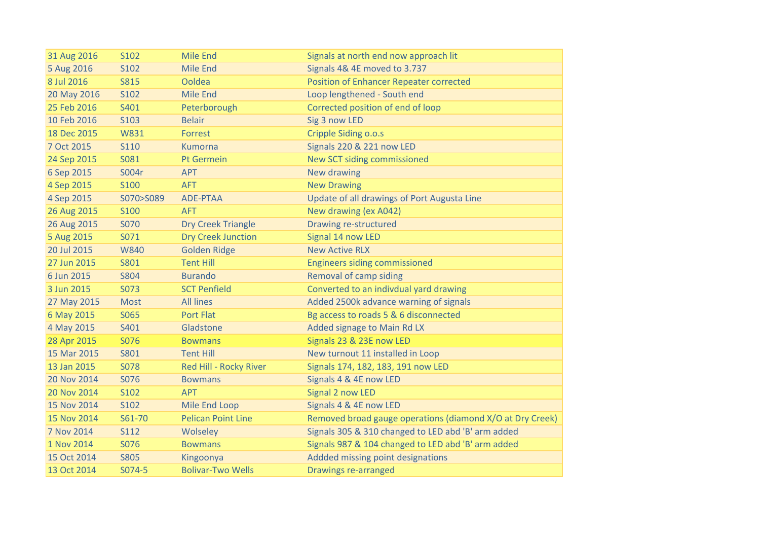| 31 Aug 2016 | S102        | <b>Mile End</b>           | Signals at north end now approach lit                     |
|-------------|-------------|---------------------------|-----------------------------------------------------------|
| 5 Aug 2016  | S102        | <b>Mile End</b>           | Signals 4& 4E moved to 3.737                              |
| 8 Jul 2016  | <b>S815</b> | Ooldea                    | <b>Position of Enhancer Repeater corrected</b>            |
| 20 May 2016 | S102        | <b>Mile End</b>           | Loop lengthened - South end                               |
| 25 Feb 2016 | S401        | Peterborough              | Corrected position of end of loop                         |
| 10 Feb 2016 | S103        | <b>Belair</b>             | Sig 3 now LED                                             |
| 18 Dec 2015 | W831        | Forrest                   | Cripple Siding o.o.s                                      |
| 7 Oct 2015  | <b>S110</b> | <b>Kumorna</b>            | <b>Signals 220 &amp; 221 now LED</b>                      |
| 24 Sep 2015 | S081        | Pt Germein                | New SCT siding commissioned                               |
| 6 Sep 2015  | S004r       | <b>APT</b>                | New drawing                                               |
| 4 Sep 2015  | <b>S100</b> | <b>AFT</b>                | <b>New Drawing</b>                                        |
| 4 Sep 2015  | S070>S089   | ADE-PTAA                  | Update of all drawings of Port Augusta Line               |
| 26 Aug 2015 | <b>S100</b> | <b>AFT</b>                | New drawing (ex A042)                                     |
| 26 Aug 2015 | <b>S070</b> | <b>Dry Creek Triangle</b> | Drawing re-structured                                     |
| 5 Aug 2015  | S071        | <b>Dry Creek Junction</b> | Signal 14 now LED                                         |
| 20 Jul 2015 | <b>W840</b> | <b>Golden Ridge</b>       | <b>New Active RLX</b>                                     |
| 27 Jun 2015 | S801        | <b>Tent Hill</b>          | <b>Engineers siding commissioned</b>                      |
| 6 Jun 2015  | <b>S804</b> | <b>Burando</b>            | <b>Removal of camp siding</b>                             |
| 3 Jun 2015  | S073        | <b>SCT Penfield</b>       | Converted to an indivdual yard drawing                    |
| 27 May 2015 | <b>Most</b> | <b>All lines</b>          | Added 2500k advance warning of signals                    |
| 6 May 2015  | S065        | <b>Port Flat</b>          | Bg access to roads 5 & 6 disconnected                     |
| 4 May 2015  | S401        | Gladstone                 | Added signage to Main Rd LX                               |
| 28 Apr 2015 | S076        | <b>Bowmans</b>            | Signals 23 & 23E now LED                                  |
| 15 Mar 2015 | S801        | <b>Tent Hill</b>          | New turnout 11 installed in Loop                          |
| 13 Jan 2015 | <b>S078</b> | Red Hill - Rocky River    | Signals 174, 182, 183, 191 now LED                        |
| 20 Nov 2014 | S076        | <b>Bowmans</b>            | Signals 4 & 4E now LED                                    |
| 20 Nov 2014 | S102        | <b>APT</b>                | Signal 2 now LED                                          |
| 15 Nov 2014 | S102        | <b>Mile End Loop</b>      | Signals 4 & 4E now LED                                    |
| 15 Nov 2014 | S61-70      | <b>Pelican Point Line</b> | Removed broad gauge operations (diamond X/O at Dry Creek) |
| 7 Nov 2014  | <b>S112</b> | Wolseley                  | Signals 305 & 310 changed to LED abd 'B' arm added        |
| 1 Nov 2014  | S076        | <b>Bowmans</b>            | Signals 987 & 104 changed to LED abd 'B' arm added        |
| 15 Oct 2014 | <b>S805</b> | Kingoonya                 | Addded missing point designations                         |
| 13 Oct 2014 | S074-5      | <b>Bolivar-Two Wells</b>  | Drawings re-arranged                                      |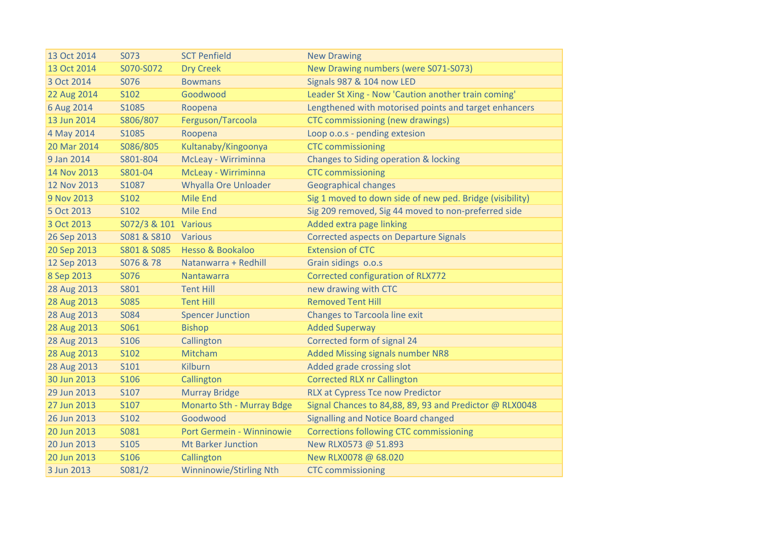| 13 Oct 2014 | S073                 | <b>SCT Penfield</b>            | <b>New Drawing</b>                                       |
|-------------|----------------------|--------------------------------|----------------------------------------------------------|
| 13 Oct 2014 | S070-S072            | <b>Dry Creek</b>               | New Drawing numbers (were S071-S073)                     |
| 3 Oct 2014  | S076                 | <b>Bowmans</b>                 | Signals 987 & 104 now LED                                |
| 22 Aug 2014 | S102                 | Goodwood                       | Leader St Xing - Now 'Caution another train coming'      |
| 6 Aug 2014  | S1085                | Roopena                        | Lengthened with motorised points and target enhancers    |
| 13 Jun 2014 | S806/807             | Ferguson/Tarcoola              | CTC commissioning (new drawings)                         |
| 4 May 2014  | S1085                | Roopena                        | Loop o.o.s - pending extesion                            |
| 20 Mar 2014 | S086/805             | Kultanaby/Kingoonya            | <b>CTC</b> commissioning                                 |
| 9 Jan 2014  | S801-804             | McLeay - Wirriminna            | Changes to Siding operation & locking                    |
| 14 Nov 2013 | S801-04              | McLeay - Wirriminna            | <b>CTC</b> commissioning                                 |
| 12 Nov 2013 | S1087                | <b>Whyalla Ore Unloader</b>    | <b>Geographical changes</b>                              |
| 9 Nov 2013  | S102                 | <b>Mile End</b>                | Sig 1 moved to down side of new ped. Bridge (visibility) |
| 5 Oct 2013  | S102                 | <b>Mile End</b>                | Sig 209 removed, Sig 44 moved to non-preferred side      |
| 3 Oct 2013  | S072/3 & 101 Various |                                | Added extra page linking                                 |
| 26 Sep 2013 | S081 & S810          | <b>Various</b>                 | <b>Corrected aspects on Departure Signals</b>            |
| 20 Sep 2013 | S801 & S085          | Hesso & Bookaloo               | <b>Extension of CTC</b>                                  |
| 12 Sep 2013 | S076 & 78            | Natanwarra + Redhill           | Grain sidings o.o.s                                      |
| 8 Sep 2013  | S076                 | Nantawarra                     | Corrected configuration of RLX772                        |
| 28 Aug 2013 | <b>S801</b>          | <b>Tent Hill</b>               | new drawing with CTC                                     |
| 28 Aug 2013 | <b>S085</b>          | <b>Tent Hill</b>               | <b>Removed Tent Hill</b>                                 |
| 28 Aug 2013 | <b>S084</b>          | <b>Spencer Junction</b>        | <b>Changes to Tarcoola line exit</b>                     |
| 28 Aug 2013 | S061                 | <b>Bishop</b>                  | <b>Added Superway</b>                                    |
| 28 Aug 2013 | S106                 | Callington                     | Corrected form of signal 24                              |
| 28 Aug 2013 | S102                 | Mitcham                        | Added Missing signals number NR8                         |
| 28 Aug 2013 | S101                 | <b>Kilburn</b>                 | Added grade crossing slot                                |
| 30 Jun 2013 | S106                 | Callington                     | <b>Corrected RLX nr Callington</b>                       |
| 29 Jun 2013 | S107                 | <b>Murray Bridge</b>           | <b>RLX at Cypress Tce now Predictor</b>                  |
| 27 Jun 2013 | S107                 | Monarto Sth - Murray Bdge      | Signal Chances to 84,88, 89, 93 and Predictor @ RLX0048  |
| 26 Jun 2013 | S102                 | Goodwood                       | Signalling and Notice Board changed                      |
| 20 Jun 2013 | S081                 | Port Germein - Winninowie      | <b>Corrections following CTC commissioning</b>           |
| 20 Jun 2013 | S105                 | <b>Mt Barker Junction</b>      | New RLX0573 @ 51.893                                     |
| 20 Jun 2013 | S106                 | Callington                     | New RLX0078 @ 68.020                                     |
| 3 Jun 2013  | S081/2               | <b>Winninowie/Stirling Nth</b> | <b>CTC</b> commissioning                                 |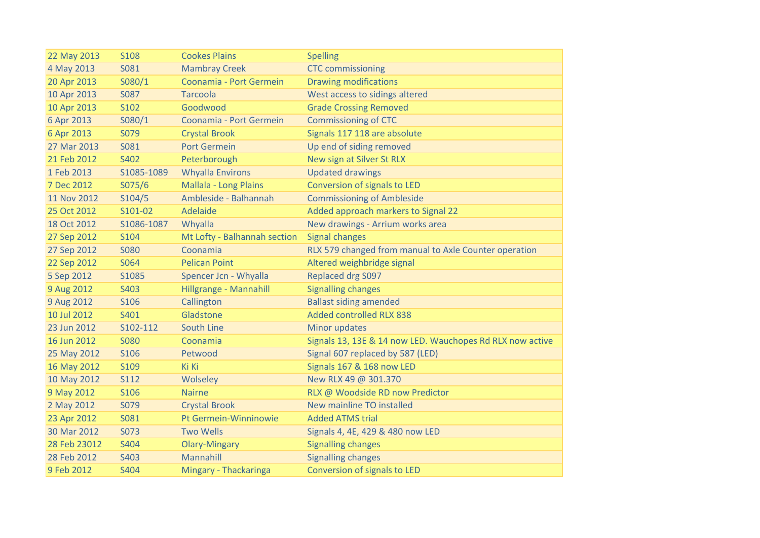| 22 May 2013  | S108        | <b>Cookes Plains</b>         | <b>Spelling</b>                                           |
|--------------|-------------|------------------------------|-----------------------------------------------------------|
| 4 May 2013   | S081        | <b>Mambray Creek</b>         | <b>CTC commissioning</b>                                  |
| 20 Apr 2013  | S080/1      | Coonamia - Port Germein      | <b>Drawing modifications</b>                              |
| 10 Apr 2013  | S087        | <b>Tarcoola</b>              | West access to sidings altered                            |
| 10 Apr 2013  | S102        | Goodwood                     | <b>Grade Crossing Removed</b>                             |
| 6 Apr 2013   | S080/1      | Coonamia - Port Germein      | <b>Commissioning of CTC</b>                               |
| 6 Apr 2013   | S079        | <b>Crystal Brook</b>         | Signals 117 118 are absolute                              |
| 27 Mar 2013  | S081        | <b>Port Germein</b>          | Up end of siding removed                                  |
| 21 Feb 2012  | S402        | Peterborough                 | New sign at Silver St RLX                                 |
| 1 Feb 2013   | S1085-1089  | <b>Whyalla Environs</b>      | <b>Updated drawings</b>                                   |
| 7 Dec 2012   | S075/6      | Mallala - Long Plains        | Conversion of signals to LED                              |
| 11 Nov 2012  | S104/5      | Ambleside - Balhannah        | <b>Commissioning of Ambleside</b>                         |
| 25 Oct 2012  | S101-02     | Adelaide                     | Added approach markers to Signal 22                       |
| 18 Oct 2012  | S1086-1087  | Whyalla                      | New drawings - Arrium works area                          |
| 27 Sep 2012  | S104        | Mt Lofty - Balhannah section | <b>Signal changes</b>                                     |
| 27 Sep 2012  | <b>S080</b> | Coonamia                     | RLX 579 changed from manual to Axle Counter operation     |
| 22 Sep 2012  | S064        | <b>Pelican Point</b>         | Altered weighbridge signal                                |
| 5 Sep 2012   | S1085       | Spencer Jcn - Whyalla        | <b>Replaced drg S097</b>                                  |
| 9 Aug 2012   | S403        | Hillgrange - Mannahill       | <b>Signalling changes</b>                                 |
| 9 Aug 2012   | S106        | Callington                   | <b>Ballast siding amended</b>                             |
| 10 Jul 2012  | S401        | Gladstone                    | Added controlled RLX 838                                  |
| 23 Jun 2012  | S102-112    | South Line                   | Minor updates                                             |
| 16 Jun 2012  | <b>S080</b> | Coonamia                     | Signals 13, 13E & 14 now LED. Wauchopes Rd RLX now active |
| 25 May 2012  | <b>S106</b> | Petwood                      | Signal 607 replaced by 587 (LED)                          |
| 16 May 2012  | S109        | Ki Ki                        | Signals 167 & 168 now LED                                 |
| 10 May 2012  | <b>S112</b> | Wolseley                     | New RLX 49 @ 301.370                                      |
| 9 May 2012   | S106        | <b>Nairne</b>                | RLX @ Woodside RD now Predictor                           |
| 2 May 2012   | S079        | <b>Crystal Brook</b>         | New mainline TO installed                                 |
| 23 Apr 2012  | S081        | Pt Germein-Winninowie        | <b>Added ATMS trial</b>                                   |
| 30 Mar 2012  | S073        | <b>Two Wells</b>             | Signals 4, 4E, 429 & 480 now LED                          |
| 28 Feb 23012 | S404        | <b>Olary-Mingary</b>         | <b>Signalling changes</b>                                 |
| 28 Feb 2012  | S403        | Mannahill                    | <b>Signalling changes</b>                                 |
| 9 Feb 2012   | S404        | Mingary - Thackaringa        | Conversion of signals to LED                              |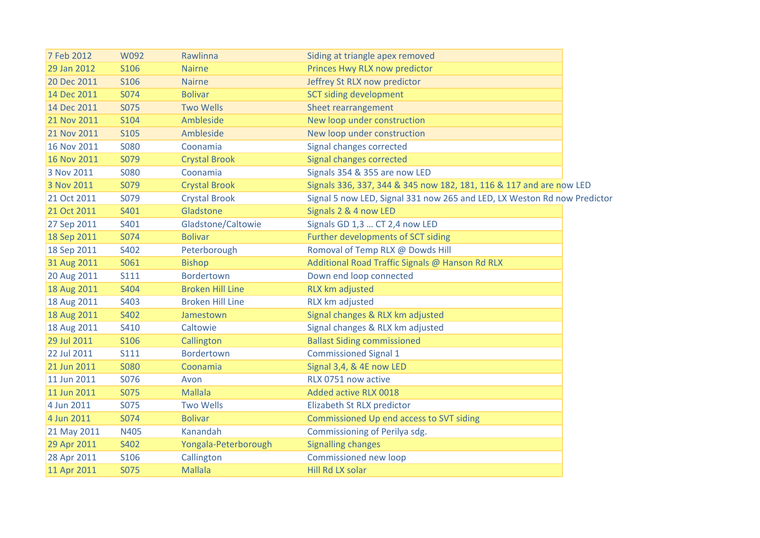| 7 Feb 2012  | W092        | Rawlinna                | Siding at triangle apex removed                                          |
|-------------|-------------|-------------------------|--------------------------------------------------------------------------|
| 29 Jan 2012 | S106        | <b>Nairne</b>           | Princes Hwy RLX now predictor                                            |
| 20 Dec 2011 | S106        | <b>Nairne</b>           | Jeffrey St RLX now predictor                                             |
| 14 Dec 2011 | S074        | <b>Bolivar</b>          | <b>SCT siding development</b>                                            |
| 14 Dec 2011 | S075        | <b>Two Wells</b>        | Sheet rearrangement                                                      |
| 21 Nov 2011 | S104        | Ambleside               | New loop under construction                                              |
| 21 Nov 2011 | <b>S105</b> | Ambleside               | New loop under construction                                              |
| 16 Nov 2011 | <b>SO80</b> | Coonamia                | Signal changes corrected                                                 |
| 16 Nov 2011 | S079        | <b>Crystal Brook</b>    | Signal changes corrected                                                 |
| 3 Nov 2011  | <b>S080</b> | Coonamia                | Signals 354 & 355 are now LED                                            |
| 3 Nov 2011  | S079        | <b>Crystal Brook</b>    | Signals 336, 337, 344 & 345 now 182, 181, 116 & 117 and are now LED      |
| 21 Oct 2011 | S079        | <b>Crystal Brook</b>    | Signal 5 now LED, Signal 331 now 265 and LED, LX Weston Rd now Predictor |
| 21 Oct 2011 | S401        | Gladstone               | Signals 2 & 4 now LED                                                    |
| 27 Sep 2011 | S401        | Gladstone/Caltowie      | Signals GD 1,3  CT 2,4 now LED                                           |
| 18 Sep 2011 | S074        | <b>Bolivar</b>          | Further developments of SCT siding                                       |
| 18 Sep 2011 | S402        | Peterborough            | Romoval of Temp RLX @ Dowds Hill                                         |
| 31 Aug 2011 | S061        | <b>Bishop</b>           | Additional Road Traffic Signals @ Hanson Rd RLX                          |
| 20 Aug 2011 | <b>S111</b> | <b>Bordertown</b>       | Down end loop connected                                                  |
| 18 Aug 2011 | S404        | <b>Broken Hill Line</b> | RLX km adjusted                                                          |
| 18 Aug 2011 | S403        | <b>Broken Hill Line</b> | RLX km adjusted                                                          |
| 18 Aug 2011 | S402        | Jamestown               | Signal changes & RLX km adjusted                                         |
| 18 Aug 2011 | S410        | Caltowie                | Signal changes & RLX km adjusted                                         |
| 29 Jul 2011 | S106        | Callington              | <b>Ballast Siding commissioned</b>                                       |
| 22 Jul 2011 | <b>S111</b> | Bordertown              | <b>Commissioned Signal 1</b>                                             |
| 21 Jun 2011 | <b>S080</b> | Coonamia                | Signal 3,4, & 4E now LED                                                 |
| 11 Jun 2011 | S076        | Avon                    | RLX 0751 now active                                                      |
| 11 Jun 2011 | <b>S075</b> | <b>Mallala</b>          | Added active RLX 0018                                                    |
| 4 Jun 2011  | S075        | <b>Two Wells</b>        | Elizabeth St RLX predictor                                               |
| 4 Jun 2011  | S074        | <b>Bolivar</b>          | Commissioned Up end access to SVT siding                                 |
| 21 May 2011 | N405        | Kanandah                | Commissioning of Perilya sdg.                                            |
| 29 Apr 2011 | S402        | Yongala-Peterborough    | <b>Signalling changes</b>                                                |
| 28 Apr 2011 | <b>S106</b> | Callington              | Commissioned new loop                                                    |
| 11 Apr 2011 | <b>S075</b> | <b>Mallala</b>          | Hill Rd LX solar                                                         |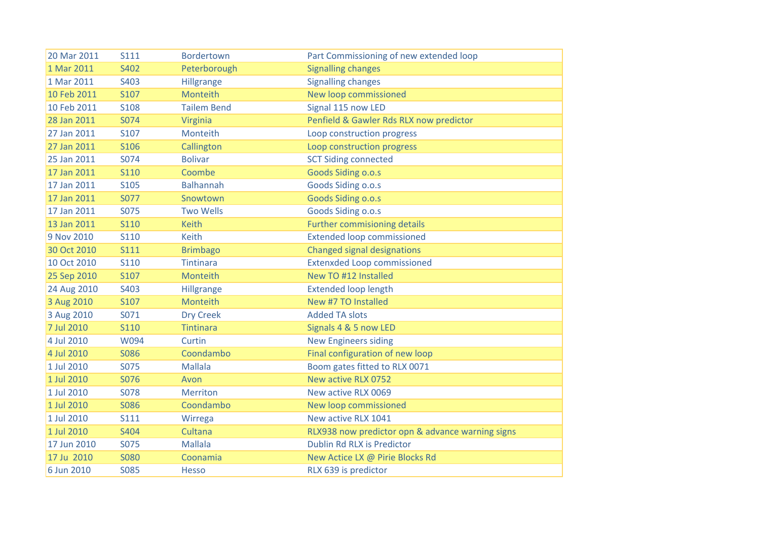| 20 Mar 2011 | S111        | <b>Bordertown</b>  | Part Commissioning of new extended loop          |
|-------------|-------------|--------------------|--------------------------------------------------|
| 1 Mar 2011  | S402        | Peterborough       | <b>Signalling changes</b>                        |
| 1 Mar 2011  | S403        | Hillgrange         | <b>Signalling changes</b>                        |
| 10 Feb 2011 | S107        | Monteith           | New loop commissioned                            |
| 10 Feb 2011 | <b>S108</b> | <b>Tailem Bend</b> | Signal 115 now LED                               |
| 28 Jan 2011 | S074        | Virginia           | Penfield & Gawler Rds RLX now predictor          |
| 27 Jan 2011 | S107        | Monteith           | Loop construction progress                       |
| 27 Jan 2011 | S106        | Callington         | Loop construction progress                       |
| 25 Jan 2011 | S074        | <b>Bolivar</b>     | <b>SCT Siding connected</b>                      |
| 17 Jan 2011 | <b>S110</b> | Coombe             | Goods Siding o.o.s                               |
| 17 Jan 2011 | S105        | <b>Balhannah</b>   | Goods Siding o.o.s                               |
| 17 Jan 2011 | S077        | Snowtown           | Goods Siding o.o.s                               |
| 17 Jan 2011 | S075        | <b>Two Wells</b>   | Goods Siding o.o.s                               |
| 13 Jan 2011 | <b>S110</b> | <b>Keith</b>       | <b>Further commisioning details</b>              |
| 9 Nov 2010  | <b>S110</b> | <b>Keith</b>       | <b>Extended loop commissioned</b>                |
| 30 Oct 2010 | <b>S111</b> | <b>Brimbago</b>    | <b>Changed signal designations</b>               |
| 10 Oct 2010 | <b>S110</b> | Tintinara          | <b>Extenxded Loop commissioned</b>               |
| 25 Sep 2010 | S107        | Monteith           | New TO #12 Installed                             |
| 24 Aug 2010 | S403        | Hillgrange         | <b>Extended loop length</b>                      |
| 3 Aug 2010  | S107        | Monteith           | New #7 TO Installed                              |
| 3 Aug 2010  | S071        | <b>Dry Creek</b>   | <b>Added TA slots</b>                            |
| 7 Jul 2010  | <b>S110</b> | <b>Tintinara</b>   | Signals 4 & 5 now LED                            |
| 4 Jul 2010  | W094        | Curtin             | <b>New Engineers siding</b>                      |
| 4 Jul 2010  | <b>S086</b> | Coondambo          | Final configuration of new loop                  |
| 1 Jul 2010  | S075        | <b>Mallala</b>     | Boom gates fitted to RLX 0071                    |
| 1 Jul 2010  | S076        | Avon               | New active RLX 0752                              |
| 1 Jul 2010  | <b>S078</b> | <b>Merriton</b>    | New active RLX 0069                              |
| 1 Jul 2010  | <b>S086</b> | Coondambo          | New loop commissioned                            |
| 1 Jul 2010  | <b>S111</b> | Wirrega            | New active RLX 1041                              |
| 1 Jul 2010  | S404        | Cultana            | RLX938 now predictor opn & advance warning signs |
| 17 Jun 2010 | S075        | <b>Mallala</b>     | Dublin Rd RLX is Predictor                       |
| 17 Ju 2010  | <b>S080</b> | Coonamia           | New Actice LX @ Pirie Blocks Rd                  |
| 6 Jun 2010  | <b>SO85</b> | <b>Hesso</b>       | RLX 639 is predictor                             |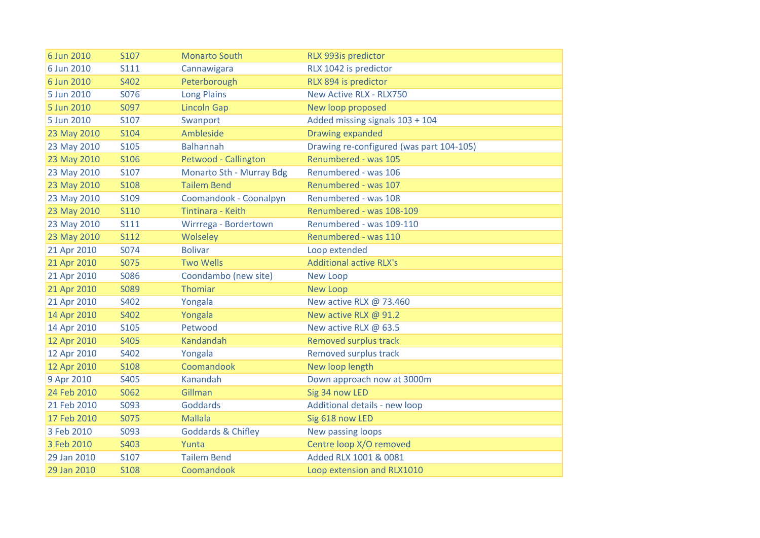| 6 Jun 2010  | S107        | <b>Monarto South</b>          | RLX 993is predictor                      |
|-------------|-------------|-------------------------------|------------------------------------------|
| 6 Jun 2010  | <b>S111</b> | Cannawigara                   | RLX 1042 is predictor                    |
| 6 Jun 2010  | S402        | Peterborough                  | RLX 894 is predictor                     |
| 5 Jun 2010  | S076        | <b>Long Plains</b>            | <b>New Active RLX - RLX750</b>           |
| 5 Jun 2010  | S097        | <b>Lincoln Gap</b>            | New loop proposed                        |
| 5 Jun 2010  | S107        | Swanport                      | Added missing signals 103 + 104          |
| 23 May 2010 | S104        | Ambleside                     | <b>Drawing expanded</b>                  |
| 23 May 2010 | S105        | <b>Balhannah</b>              | Drawing re-configured (was part 104-105) |
| 23 May 2010 | S106        | Petwood - Callington          | Renumbered - was 105                     |
| 23 May 2010 | S107        | Monarto Sth - Murray Bdg      | Renumbered - was 106                     |
| 23 May 2010 | <b>S108</b> | <b>Tailem Bend</b>            | Renumbered - was 107                     |
| 23 May 2010 | S109        | Coomandook - Coonalpyn        | Renumbered - was 108                     |
| 23 May 2010 | <b>S110</b> | Tintinara - Keith             | Renumbered - was 108-109                 |
| 23 May 2010 | <b>S111</b> | Wirrrega - Bordertown         | Renumbered - was 109-110                 |
| 23 May 2010 | <b>S112</b> | Wolseley                      | Renumbered - was 110                     |
| 21 Apr 2010 | S074        | <b>Bolivar</b>                | Loop extended                            |
| 21 Apr 2010 | S075        | <b>Two Wells</b>              | <b>Additional active RLX's</b>           |
| 21 Apr 2010 | <b>S086</b> | Coondambo (new site)          | New Loop                                 |
| 21 Apr 2010 | S089        | Thomiar                       | <b>New Loop</b>                          |
| 21 Apr 2010 | S402        | Yongala                       | New active RLX @ 73.460                  |
| 14 Apr 2010 | S402        | Yongala                       | New active RLX @ 91.2                    |
| 14 Apr 2010 | S105        | Petwood                       | New active RLX @ 63.5                    |
| 12 Apr 2010 | S405        | Kandandah                     | <b>Removed surplus track</b>             |
| 12 Apr 2010 | S402        | Yongala                       | Removed surplus track                    |
| 12 Apr 2010 | <b>S108</b> | Coomandook                    | New loop length                          |
| 9 Apr 2010  | S405        | Kanandah                      | Down approach now at 3000m               |
| 24 Feb 2010 | S062        | Gillman                       | Sig 34 now LED                           |
| 21 Feb 2010 | S093        | Goddards                      | Additional details - new loop            |
| 17 Feb 2010 | <b>S075</b> | <b>Mallala</b>                | Sig 618 now LED                          |
| 3 Feb 2010  | S093        | <b>Goddards &amp; Chifley</b> | New passing loops                        |
| 3 Feb 2010  | S403        | Yunta                         | Centre loop X/O removed                  |
| 29 Jan 2010 | S107        | <b>Tailem Bend</b>            | Added RLX 1001 & 0081                    |
| 29 Jan 2010 | <b>S108</b> | Coomandook                    | Loop extension and RLX1010               |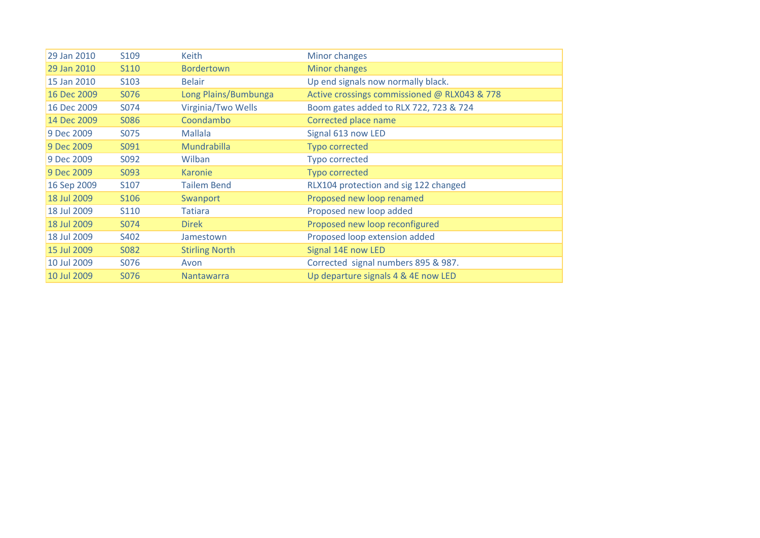| 29 Jan 2010 | S <sub>109</sub> | <b>Keith</b>          | Minor changes                                |
|-------------|------------------|-----------------------|----------------------------------------------|
| 29 Jan 2010 | S <sub>110</sub> | <b>Bordertown</b>     | Minor changes                                |
| 15 Jan 2010 | S103             | <b>Belair</b>         | Up end signals now normally black.           |
| 16 Dec 2009 | S076             | Long Plains/Bumbunga  | Active crossings commissioned @ RLX043 & 778 |
| 16 Dec 2009 | S074             | Virginia/Two Wells    | Boom gates added to RLX 722, 723 & 724       |
| 14 Dec 2009 | S086             | Coondambo             | Corrected place name                         |
| 9 Dec 2009  | S075             | <b>Mallala</b>        | Signal 613 now LED                           |
| 9 Dec 2009  | S091             | <b>Mundrabilla</b>    | <b>Typo corrected</b>                        |
| 9 Dec 2009  | S092             | Wilban                | <b>Typo corrected</b>                        |
| 9 Dec 2009  | S093             | Karonie               | <b>Typo corrected</b>                        |
| 16 Sep 2009 | S107             | <b>Tailem Bend</b>    | RLX104 protection and sig 122 changed        |
| 18 Jul 2009 | S106             | Swanport              | Proposed new loop renamed                    |
| 18 Jul 2009 | S110             | <b>Tatiara</b>        | Proposed new loop added                      |
| 18 Jul 2009 | S074             | <b>Direk</b>          | Proposed new loop reconfigured               |
| 18 Jul 2009 | S402             | Jamestown             | Proposed loop extension added                |
| 15 Jul 2009 | S082             | <b>Stirling North</b> | Signal 14E now LED                           |
| 10 Jul 2009 | S076             | Avon                  | Corrected signal numbers 895 & 987.          |
| 10 Jul 2009 | S076             | <b>Nantawarra</b>     | Up departure signals 4 & 4E now LED          |